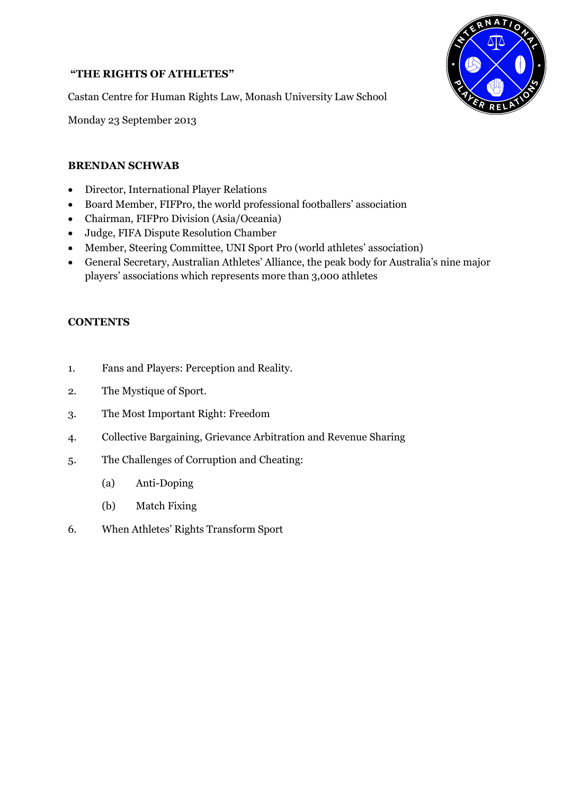## **"THE RIGHTS OF ATHLETES"**



Castan Centre for Human Rights Law, Monash University Law School

Monday 23 September 2013

# **BRENDAN SCHWAB**

- Director, International Player Relations
- Board Member, FIFPro, the world professional footballers' association
- Chairman, FIFPro Division (Asia/Oceania)
- Judge, FIFA Dispute Resolution Chamber
- Member, Steering Committee, UNI Sport Pro (world athletes' association)
- General Secretary, Australian Athletes' Alliance, the peak body for Australia's nine major players' associations which represents more than 3,000 athletes

## **CONTENTS**

- 1. Fans and Players: Perception and Reality.
- 2. The Mystique of Sport.
- 3. The Most Important Right: Freedom
- 4. Collective Bargaining, Grievance Arbitration and Revenue Sharing
- 5. The Challenges of Corruption and Cheating:
	- (a) Anti-Doping
	- (b) Match Fixing
- 6. When Athletes' Rights Transform Sport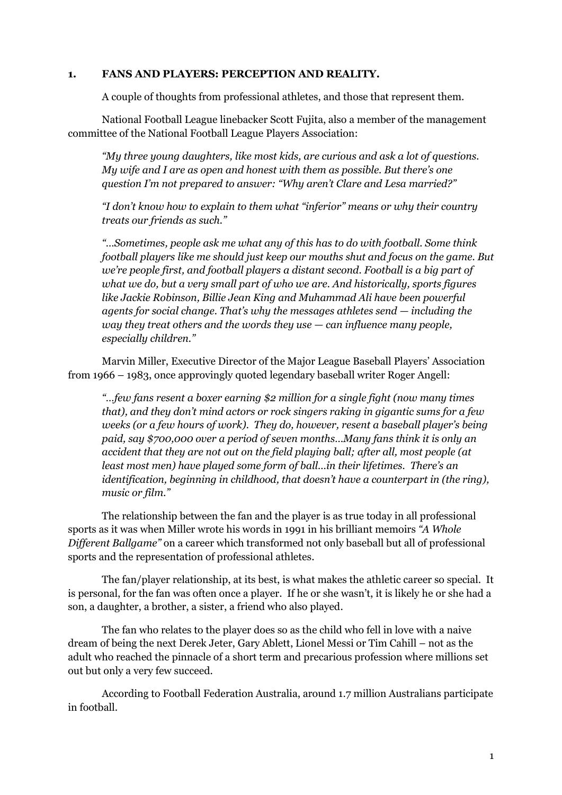#### **1. FANS AND PLAYERS: PERCEPTION AND REALITY.**

A couple of thoughts from professional athletes, and those that represent them.

National Football League linebacker Scott Fujita, also a member of the management committee of the National Football League Players Association:

*"My three young daughters, like most kids, are curious and ask a lot of questions. My wife and I are as open and honest with them as possible. But there's one question I'm not prepared to answer: "Why aren't Clare and Lesa married?"*

*"I don't know how to explain to them what "inferior" means or why their country treats our friends as such."*

*"…Sometimes, people ask me what any of this has to do with football. Some think football players like me should just keep our mouths shut and focus on the game. But we're people first, and football players a distant second. Football is a big part of what we do, but a very small part of who we are. And historically, sports figures like Jackie Robinson, Billie Jean King and Muhammad Ali have been powerful agents for social change. That's why the messages athletes send — including the way they treat others and the words they use — can influence many people, especially children."*

Marvin Miller, Executive Director of the Major League Baseball Players' Association from 1966 – 1983, once approvingly quoted legendary baseball writer Roger Angell:

*"…few fans resent a boxer earning \$2 million for a single fight (now many times that), and they don't mind actors or rock singers raking in gigantic sums for a few weeks (or a few hours of work). They do, however, resent a baseball player's being paid, say \$700,000 over a period of seven months…Many fans think it is only an accident that they are not out on the field playing ball; after all, most people (at least most men) have played some form of ball…in their lifetimes. There's an identification, beginning in childhood, that doesn't have a counterpart in (the ring), music or film."*

The relationship between the fan and the player is as true today in all professional sports as it was when Miller wrote his words in 1991 in his brilliant memoirs *"A Whole Different Ballgame"* on a career which transformed not only baseball but all of professional sports and the representation of professional athletes.

The fan/player relationship, at its best, is what makes the athletic career so special. It is personal, for the fan was often once a player. If he or she wasn't, it is likely he or she had a son, a daughter, a brother, a sister, a friend who also played.

The fan who relates to the player does so as the child who fell in love with a naive dream of being the next Derek Jeter, Gary Ablett, Lionel Messi or Tim Cahill – not as the adult who reached the pinnacle of a short term and precarious profession where millions set out but only a very few succeed.

According to Football Federation Australia, around 1.7 million Australians participate in football.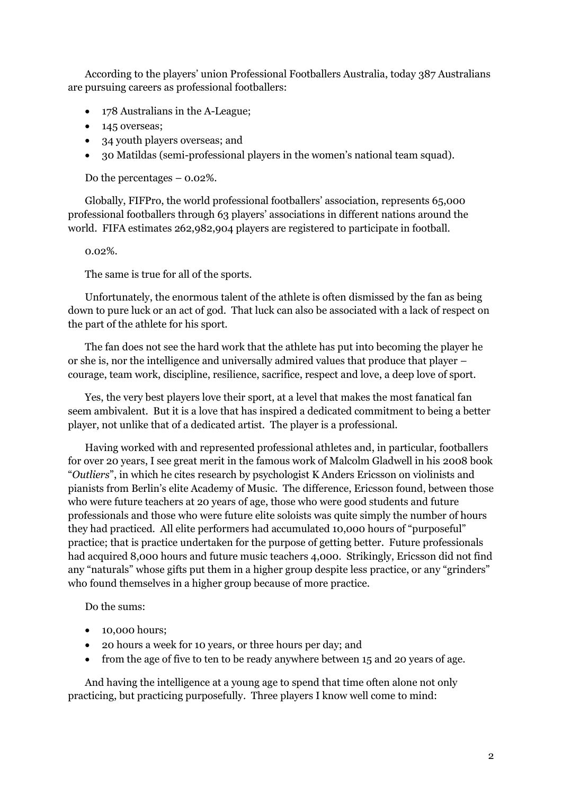According to the players' union Professional Footballers Australia, today 387 Australians are pursuing careers as professional footballers:

- 178 Australians in the A-League;
- 145 overseas;
- 34 youth players overseas; and
- 30 Matildas (semi-professional players in the women's national team squad).

Do the percentages – 0.02%.

Globally, FIFPro, the world professional footballers' association, represents 65,000 professional footballers through 63 players' associations in different nations around the world. FIFA estimates 262,982,904 players are registered to participate in football.

0.02%.

The same is true for all of the sports.

Unfortunately, the enormous talent of the athlete is often dismissed by the fan as being down to pure luck or an act of god. That luck can also be associated with a lack of respect on the part of the athlete for his sport.

The fan does not see the hard work that the athlete has put into becoming the player he or she is, nor the intelligence and universally admired values that produce that player – courage, team work, discipline, resilience, sacrifice, respect and love, a deep love of sport.

Yes, the very best players love their sport, at a level that makes the most fanatical fan seem ambivalent. But it is a love that has inspired a dedicated commitment to being a better player, not unlike that of a dedicated artist. The player is a professional.

Having worked with and represented professional athletes and, in particular, footballers for over 20 years, I see great merit in the famous work of Malcolm Gladwell in his 2008 book "*Outliers*", in which he cites research by psychologist K Anders Ericsson on violinists and pianists from Berlin's elite Academy of Music. The difference, Ericsson found, between those who were future teachers at 20 years of age, those who were good students and future professionals and those who were future elite soloists was quite simply the number of hours they had practiced. All elite performers had accumulated 10,000 hours of "purposeful" practice; that is practice undertaken for the purpose of getting better. Future professionals had acquired 8,000 hours and future music teachers 4,000. Strikingly, Ericsson did not find any "naturals" whose gifts put them in a higher group despite less practice, or any "grinders" who found themselves in a higher group because of more practice.

Do the sums:

- 10,000 hours:
- 20 hours a week for 10 years, or three hours per day; and
- from the age of five to ten to be ready anywhere between 15 and 20 years of age.

And having the intelligence at a young age to spend that time often alone not only practicing, but practicing purposefully. Three players I know well come to mind: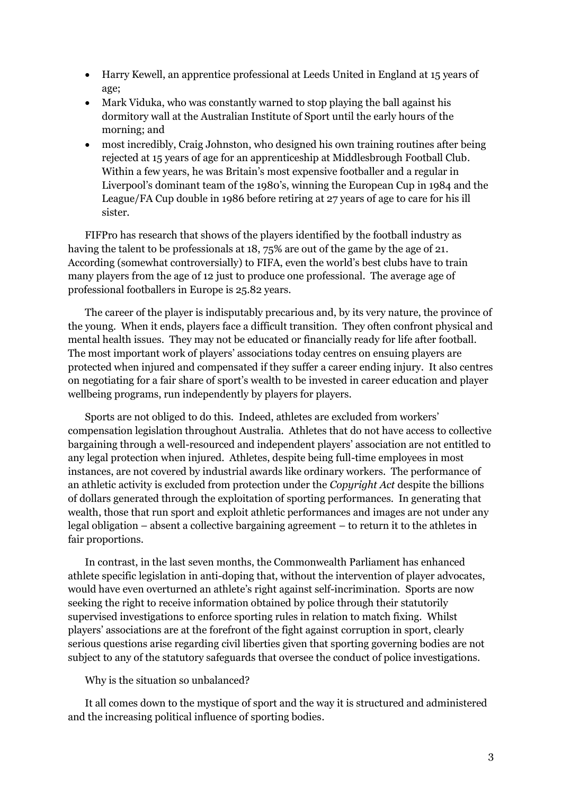- Harry Kewell, an apprentice professional at Leeds United in England at 15 years of age;
- Mark Viduka, who was constantly warned to stop playing the ball against his dormitory wall at the Australian Institute of Sport until the early hours of the morning; and
- most incredibly, Craig Johnston, who designed his own training routines after being rejected at 15 years of age for an apprenticeship at Middlesbrough Football Club. Within a few years, he was Britain's most expensive footballer and a regular in Liverpool's dominant team of the 1980's, winning the European Cup in 1984 and the League/FA Cup double in 1986 before retiring at 27 years of age to care for his ill sister.

FIFPro has research that shows of the players identified by the football industry as having the talent to be professionals at 18, 75% are out of the game by the age of 21. According (somewhat controversially) to FIFA, even the world's best clubs have to train many players from the age of 12 just to produce one professional. The average age of professional footballers in Europe is 25.82 years.

The career of the player is indisputably precarious and, by its very nature, the province of the young. When it ends, players face a difficult transition. They often confront physical and mental health issues. They may not be educated or financially ready for life after football. The most important work of players' associations today centres on ensuing players are protected when injured and compensated if they suffer a career ending injury. It also centres on negotiating for a fair share of sport's wealth to be invested in career education and player wellbeing programs, run independently by players for players.

Sports are not obliged to do this. Indeed, athletes are excluded from workers' compensation legislation throughout Australia. Athletes that do not have access to collective bargaining through a well-resourced and independent players' association are not entitled to any legal protection when injured. Athletes, despite being full-time employees in most instances, are not covered by industrial awards like ordinary workers. The performance of an athletic activity is excluded from protection under the *Copyright Act* despite the billions of dollars generated through the exploitation of sporting performances. In generating that wealth, those that run sport and exploit athletic performances and images are not under any legal obligation – absent a collective bargaining agreement – to return it to the athletes in fair proportions.

In contrast, in the last seven months, the Commonwealth Parliament has enhanced athlete specific legislation in anti-doping that, without the intervention of player advocates, would have even overturned an athlete's right against self-incrimination. Sports are now seeking the right to receive information obtained by police through their statutorily supervised investigations to enforce sporting rules in relation to match fixing. Whilst players' associations are at the forefront of the fight against corruption in sport, clearly serious questions arise regarding civil liberties given that sporting governing bodies are not subject to any of the statutory safeguards that oversee the conduct of police investigations.

Why is the situation so unbalanced?

It all comes down to the mystique of sport and the way it is structured and administered and the increasing political influence of sporting bodies.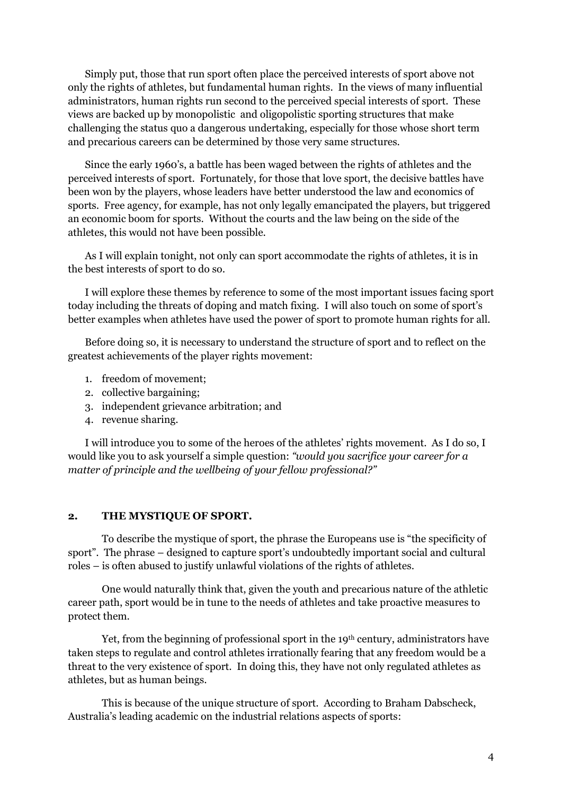Simply put, those that run sport often place the perceived interests of sport above not only the rights of athletes, but fundamental human rights. In the views of many influential administrators, human rights run second to the perceived special interests of sport. These views are backed up by monopolistic and oligopolistic sporting structures that make challenging the status quo a dangerous undertaking, especially for those whose short term and precarious careers can be determined by those very same structures.

Since the early 1960's, a battle has been waged between the rights of athletes and the perceived interests of sport. Fortunately, for those that love sport, the decisive battles have been won by the players, whose leaders have better understood the law and economics of sports. Free agency, for example, has not only legally emancipated the players, but triggered an economic boom for sports. Without the courts and the law being on the side of the athletes, this would not have been possible.

As I will explain tonight, not only can sport accommodate the rights of athletes, it is in the best interests of sport to do so.

I will explore these themes by reference to some of the most important issues facing sport today including the threats of doping and match fixing. I will also touch on some of sport's better examples when athletes have used the power of sport to promote human rights for all.

Before doing so, it is necessary to understand the structure of sport and to reflect on the greatest achievements of the player rights movement:

- 1. freedom of movement;
- 2. collective bargaining;
- 3. independent grievance arbitration; and
- 4. revenue sharing.

I will introduce you to some of the heroes of the athletes' rights movement. As I do so, I would like you to ask yourself a simple question: *"would you sacrifice your career for a matter of principle and the wellbeing of your fellow professional?"*

#### **2. THE MYSTIQUE OF SPORT.**

To describe the mystique of sport, the phrase the Europeans use is "the specificity of sport". The phrase – designed to capture sport's undoubtedly important social and cultural roles – is often abused to justify unlawful violations of the rights of athletes.

One would naturally think that, given the youth and precarious nature of the athletic career path, sport would be in tune to the needs of athletes and take proactive measures to protect them.

Yet, from the beginning of professional sport in the 19<sup>th</sup> century, administrators have taken steps to regulate and control athletes irrationally fearing that any freedom would be a threat to the very existence of sport. In doing this, they have not only regulated athletes as athletes, but as human beings.

This is because of the unique structure of sport. According to Braham Dabscheck, Australia's leading academic on the industrial relations aspects of sports: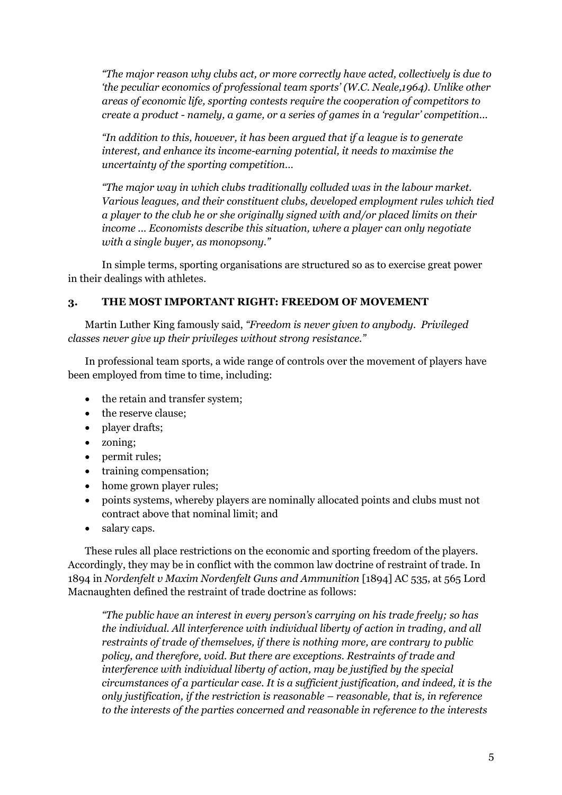*"The major reason why clubs act, or more correctly have acted, collectively is due to 'the peculiar economics of professional team sports' (W.C. Neale,1964). Unlike other areas of economic life, sporting contests require the cooperation of competitors to create a product - namely, a game, or a series of games in a 'regular' competition...* 

*"In addition to this, however, it has been argued that if a league is to generate interest, and enhance its income-earning potential, it needs to maximise the uncertainty of the sporting competition…*

*"The major way in which clubs traditionally colluded was in the labour market. Various leagues, and their constituent clubs, developed employment rules which tied a player to the club he or she originally signed with and/or placed limits on their income ... Economists describe this situation, where a player can only negotiate with a single buyer, as monopsony."*

In simple terms, sporting organisations are structured so as to exercise great power in their dealings with athletes.

## **3. THE MOST IMPORTANT RIGHT: FREEDOM OF MOVEMENT**

Martin Luther King famously said, *"Freedom is never given to anybody. Privileged classes never give up their privileges without strong resistance."*

In professional team sports, a wide range of controls over the movement of players have been employed from time to time, including:

- the retain and transfer system:
- the reserve clause;
- player drafts;
- zoning:
- permit rules;
- training compensation;
- home grown player rules;
- points systems, whereby players are nominally allocated points and clubs must not contract above that nominal limit; and
- salary caps.

These rules all place restrictions on the economic and sporting freedom of the players. Accordingly, they may be in conflict with the common law doctrine of restraint of trade. In 1894 in *Nordenfelt v Maxim Nordenfelt Guns and Ammunition* [1894] AC 535, at 565 Lord Macnaughten defined the restraint of trade doctrine as follows:

*"The public have an interest in every person's carrying on his trade freely; so has the individual. All interference with individual liberty of action in trading, and all restraints of trade of themselves, if there is nothing more, are contrary to public policy, and therefore, void. But there are exceptions. Restraints of trade and interference with individual liberty of action, may be justified by the special circumstances of a particular case. It is a sufficient justification, and indeed, it is the only justification, if the restriction is reasonable – reasonable, that is, in reference to the interests of the parties concerned and reasonable in reference to the interests*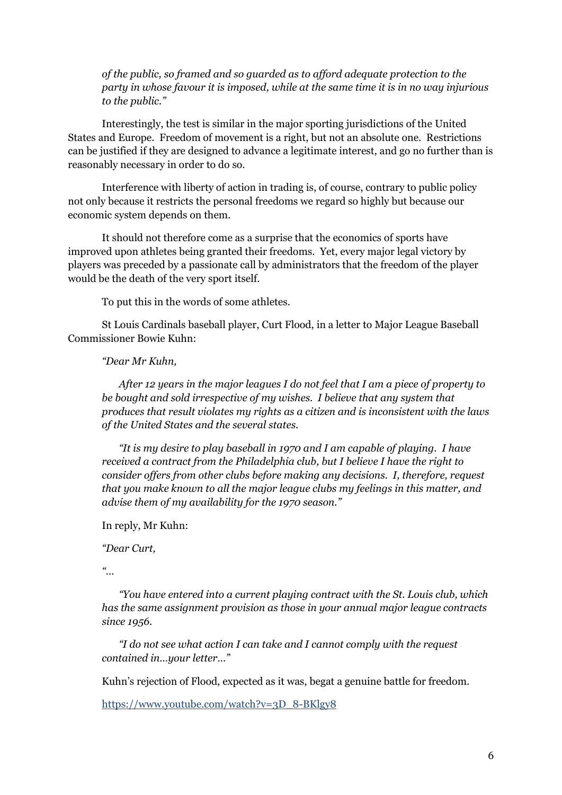*of the public, so framed and so guarded as to afford adequate protection to the party in whose favour it is imposed, while at the same time it is in no way injurious to the public."*

Interestingly, the test is similar in the major sporting jurisdictions of the United States and Europe. Freedom of movement is a right, but not an absolute one. Restrictions can be justified if they are designed to advance a legitimate interest, and go no further than is reasonably necessary in order to do so.

Interference with liberty of action in trading is, of course, contrary to public policy not only because it restricts the personal freedoms we regard so highly but because our economic system depends on them.

It should not therefore come as a surprise that the economics of sports have improved upon athletes being granted their freedoms. Yet, every major legal victory by players was preceded by a passionate call by administrators that the freedom of the player would be the death of the very sport itself.

To put this in the words of some athletes.

St Louis Cardinals baseball player, Curt Flood, in a letter to Major League Baseball Commissioner Bowie Kuhn:

*"Dear Mr Kuhn,*

*After 12 years in the major leagues I do not feel that I am a piece of property to be bought and sold irrespective of my wishes. I believe that any system that produces that result violates my rights as a citizen and is inconsistent with the laws of the United States and the several states.*

*"It is my desire to play baseball in 1970 and I am capable of playing. I have received a contract from the Philadelphia club, but I believe I have the right to consider offers from other clubs before making any decisions. I, therefore, request that you make known to all the major league clubs my feelings in this matter, and advise them of my availability for the 1970 season."*

In reply, Mr Kuhn:

*"Dear Curt,*

*"…*

*"You have entered into a current playing contract with the St. Louis club, which has the same assignment provision as those in your annual major league contracts since 1956.* 

*"I do not see what action I can take and I cannot comply with the request contained in…your letter…"*

Kuhn's rejection of Flood, expected as it was, begat a genuine battle for freedom.

[https://www.youtube.com/watch?v=3D\\_8-BKlgy8](https://www.youtube.com/watch?v=3D_8-BKlgy8)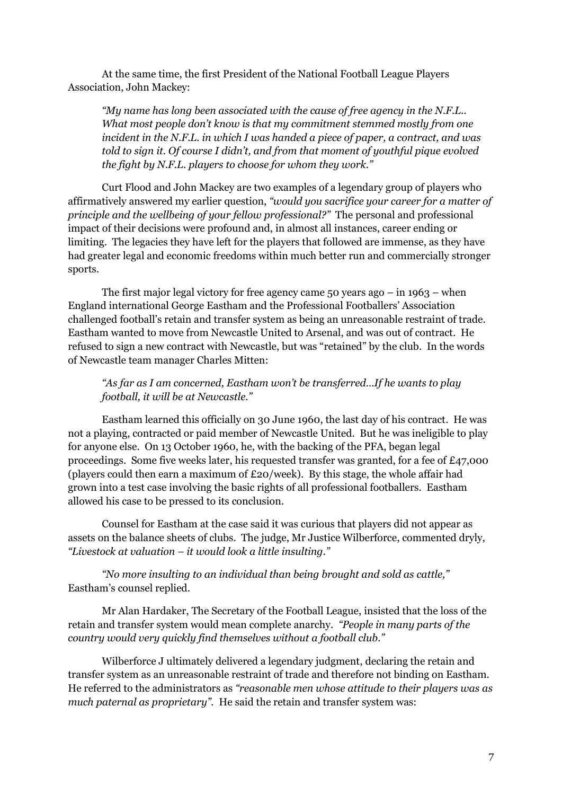At the same time, the first President of the National Football League Players Association, John Mackey:

*"My name has long been associated with the cause of free agency in the N.F.L.. What most people don't know is that my commitment stemmed mostly from one incident in the N.F.L. in which I was handed a piece of paper, a contract, and was told to sign it. Of course I didn't, and from that moment of youthful pique evolved the fight by N.F.L. players to choose for whom they work."*

Curt Flood and John Mackey are two examples of a legendary group of players who affirmatively answered my earlier question, *"would you sacrifice your career for a matter of principle and the wellbeing of your fellow professional?"* The personal and professional impact of their decisions were profound and, in almost all instances, career ending or limiting. The legacies they have left for the players that followed are immense, as they have had greater legal and economic freedoms within much better run and commercially stronger sports.

The first major legal victory for free agency came  $50$  years ago – in  $1963$  – when England international George Eastham and the Professional Footballers' Association challenged football's retain and transfer system as being an unreasonable restraint of trade. Eastham wanted to move from Newcastle United to Arsenal, and was out of contract. He refused to sign a new contract with Newcastle, but was "retained" by the club. In the words of Newcastle team manager Charles Mitten:

## *"As far as I am concerned, Eastham won't be transferred…If he wants to play football, it will be at Newcastle."*

Eastham learned this officially on 30 June 1960, the last day of his contract. He was not a playing, contracted or paid member of Newcastle United. But he was ineligible to play for anyone else. On 13 October 1960, he, with the backing of the PFA, began legal proceedings. Some five weeks later, his requested transfer was granted, for a fee of  $\text{\textsterling}47,000$ (players could then earn a maximum of £20/week). By this stage, the whole affair had grown into a test case involving the basic rights of all professional footballers. Eastham allowed his case to be pressed to its conclusion.

Counsel for Eastham at the case said it was curious that players did not appear as assets on the balance sheets of clubs. The judge, Mr Justice Wilberforce, commented dryly, *"Livestock at valuation – it would look a little insulting."*

*"No more insulting to an individual than being brought and sold as cattle,"* Eastham's counsel replied.

Mr Alan Hardaker, The Secretary of the Football League, insisted that the loss of the retain and transfer system would mean complete anarchy. *"People in many parts of the country would very quickly find themselves without a football club."*

Wilberforce J ultimately delivered a legendary judgment, declaring the retain and transfer system as an unreasonable restraint of trade and therefore not binding on Eastham. He referred to the administrators as *"reasonable men whose attitude to their players was as much paternal as proprietary".* He said the retain and transfer system was: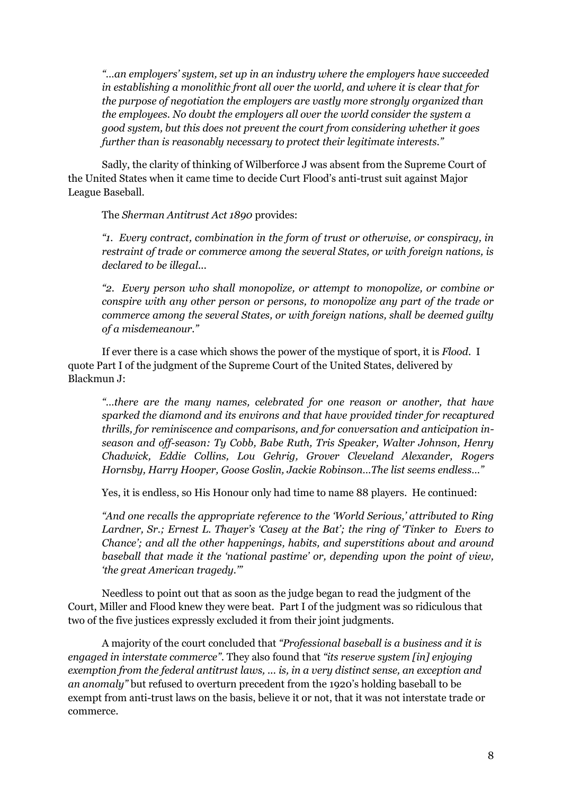*"…an employers' system, set up in an industry where the employers have succeeded in establishing a monolithic front all over the world, and where it is clear that for the purpose of negotiation the employers are vastly more strongly organized than the employees. No doubt the employers all over the world consider the system a good system, but this does not prevent the court from considering whether it goes further than is reasonably necessary to protect their legitimate interests."*

Sadly, the clarity of thinking of Wilberforce J was absent from the Supreme Court of the United States when it came time to decide Curt Flood's anti-trust suit against Major League Baseball.

The *Sherman Antitrust Act 1890* provides:

*"1. Every contract, combination in the form of trust or otherwise, or conspiracy, in restraint of trade or commerce among the several States, or with foreign nations, is declared to be illegal...* 

*"2. Every person who shall monopolize, or attempt to monopolize, or combine or conspire with any other person or persons, to monopolize any part of the trade or commerce among the several States, or with foreign nations, shall be deemed guilty of a misdemeanour."*

If ever there is a case which shows the power of the mystique of sport, it is *Flood*. I quote Part I of the judgment of the Supreme Court of the United States, delivered by Blackmun J:

*"…there are the many names, celebrated for one reason or another, that have sparked the diamond and its environs and that have provided tinder for recaptured thrills, for reminiscence and comparisons, and for conversation and anticipation inseason and off-season: Ty Cobb, Babe Ruth, Tris Speaker, Walter Johnson, Henry Chadwick, Eddie Collins, Lou Gehrig, Grover Cleveland Alexander, Rogers Hornsby, Harry Hooper, Goose Goslin, Jackie Robinson…The list seems endless…"*

Yes, it is endless, so His Honour only had time to name 88 players. He continued:

*"And one recalls the appropriate reference to the 'World Serious,' attributed to Ring Lardner, Sr.; Ernest L. Thayer's 'Casey at the Bat'; the ring of 'Tinker to Evers to Chance'; and all the other happenings, habits, and superstitions about and around baseball that made it the 'national pastime' or, depending upon the point of view, 'the great American tragedy.'"*

Needless to point out that as soon as the judge began to read the judgment of the Court, Miller and Flood knew they were beat. Part I of the judgment was so ridiculous that two of the five justices expressly excluded it from their joint judgments.

A majority of the court concluded that *"Professional baseball is a business and it is engaged in interstate commerce"*. They also found that *"its reserve system [in] enjoying exemption from the federal antitrust laws, ... is, in a very distinct sense, an exception and an anomaly"* but refused to overturn precedent from the 1920's holding baseball to be exempt from anti-trust laws on the basis, believe it or not, that it was not interstate trade or commerce.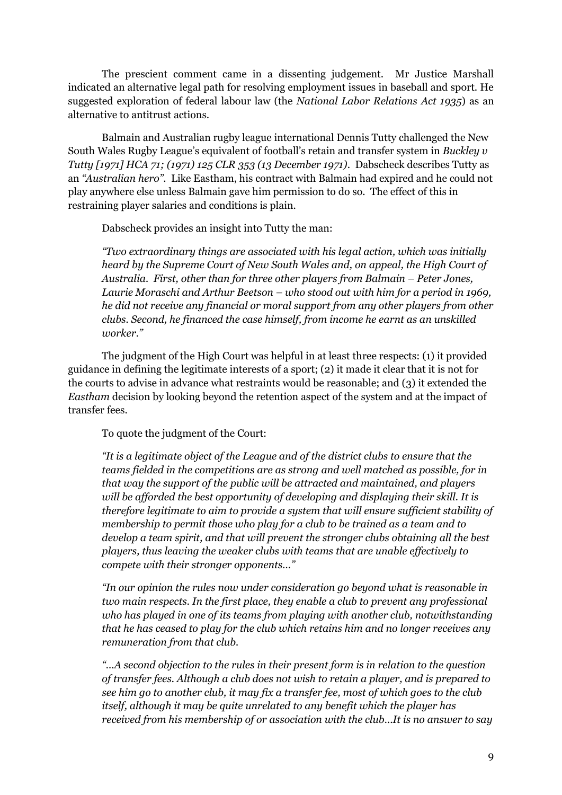The prescient comment came in a dissenting judgement. Mr Justice Marshall indicated an alternative legal path for resolving employment issues in baseball and sport. He suggested exploration of federal labour law (the *National Labor Relations Act 1935*) as an alternative to antitrust actions.

Balmain and Australian rugby league international Dennis Tutty challenged the New South Wales Rugby League's equivalent of football's retain and transfer system in *Buckley v Tutty [1971] HCA 71; (1971) 125 CLR 353 (13 December 1971)*. Dabscheck describes Tutty as an *"Australian hero"*. Like Eastham, his contract with Balmain had expired and he could not play anywhere else unless Balmain gave him permission to do so. The effect of this in restraining player salaries and conditions is plain.

Dabscheck provides an insight into Tutty the man:

*"Two extraordinary things are associated with his legal action, which was initially heard by the Supreme Court of New South Wales and, on appeal, the High Court of Australia. First, other than for three other players from Balmain – Peter Jones, Laurie Moraschi and Arthur Beetson – who stood out with him for a period in 1969, he did not receive any financial or moral support from any other players from other clubs. Second, he financed the case himself, from income he earnt as an unskilled worker."*

The judgment of the High Court was helpful in at least three respects: (1) it provided guidance in defining the legitimate interests of a sport; (2) it made it clear that it is not for the courts to advise in advance what restraints would be reasonable; and (3) it extended the *Eastham* decision by looking beyond the retention aspect of the system and at the impact of transfer fees.

To quote the judgment of the Court:

*"It is a legitimate object of the League and of the district clubs to ensure that the teams fielded in the competitions are as strong and well matched as possible, for in that way the support of the public will be attracted and maintained, and players will be afforded the best opportunity of developing and displaying their skill. It is therefore legitimate to aim to provide a system that will ensure sufficient stability of membership to permit those who play for a club to be trained as a team and to develop a team spirit, and that will prevent the stronger clubs obtaining all the best players, thus leaving the weaker clubs with teams that are unable effectively to compete with their stronger opponents…"* 

*"In our opinion the rules now under consideration go beyond what is reasonable in two main respects. In the first place, they enable a club to prevent any professional who has played in one of its teams from playing with another club, notwithstanding that he has ceased to play for the club which retains him and no longer receives any remuneration from that club.* 

*"…A second objection to the rules in their present form is in relation to the question of transfer fees. Although a club does not wish to retain a player, and is prepared to see him go to another club, it may fix a transfer fee, most of which goes to the club itself, although it may be quite unrelated to any benefit which the player has received from his membership of or association with the club…It is no answer to say*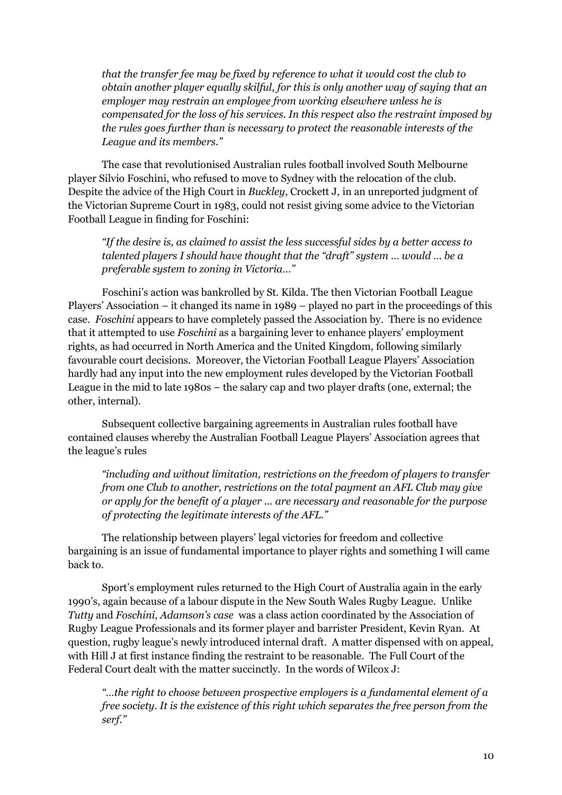*that the transfer fee may be fixed by reference to what it would cost the club to obtain another player equally skilful, for this is only another way of saying that an employer may restrain an employee from working elsewhere unless he is compensated for the loss of his services. In this respect also the restraint imposed by the rules goes further than is necessary to protect the reasonable interests of the League and its members."*

The case that revolutionised Australian rules football involved South Melbourne player Silvio Foschini, who refused to move to Sydney with the relocation of the club. Despite the advice of the High Court in *Buckley*, Crockett J, in an unreported judgment of the Victorian Supreme Court in 1983, could not resist giving some advice to the Victorian Football League in finding for Foschini:

*"If the desire is, as claimed to assist the less successful sides by a better access to talented players I should have thought that the "draft" system … would … be a preferable system to zoning in Victoria…"*

Foschini's action was bankrolled by St. Kilda. The then Victorian Football League Players' Association – it changed its name in 1989 – played no part in the proceedings of this case. *Foschini* appears to have completely passed the Association by. There is no evidence that it attempted to use *Foschini* as a bargaining lever to enhance players' employment rights, as had occurred in North America and the United Kingdom, following similarly favourable court decisions. Moreover, the Victorian Football League Players' Association hardly had any input into the new employment rules developed by the Victorian Football League in the mid to late 1980s – the salary cap and two player drafts (one, external; the other, internal).

Subsequent collective bargaining agreements in Australian rules football have contained clauses whereby the Australian Football League Players' Association agrees that the league's rules

*"including and without limitation, restrictions on the freedom of players to transfer from one Club to another, restrictions on the total payment an AFL Club may give or apply for the benefit of a player ... are necessary and reasonable for the purpose of protecting the legitimate interests of the AFL."*

The relationship between players' legal victories for freedom and collective bargaining is an issue of fundamental importance to player rights and something I will came back to.

Sport's employment rules returned to the High Court of Australia again in the early 1990's, again because of a labour dispute in the New South Wales Rugby League. Unlike *Tutty* and *Foschini*, *Adamson's case* was a class action coordinated by the Association of Rugby League Professionals and its former player and barrister President, Kevin Ryan. At question, rugby league's newly introduced internal draft. A matter dispensed with on appeal, with Hill J at first instance finding the restraint to be reasonable. The Full Court of the Federal Court dealt with the matter succinctly. In the words of Wilcox J:

*"…the right to choose between prospective employers is a fundamental element of a free society. It is the existence of this right which separates the free person from the serf."*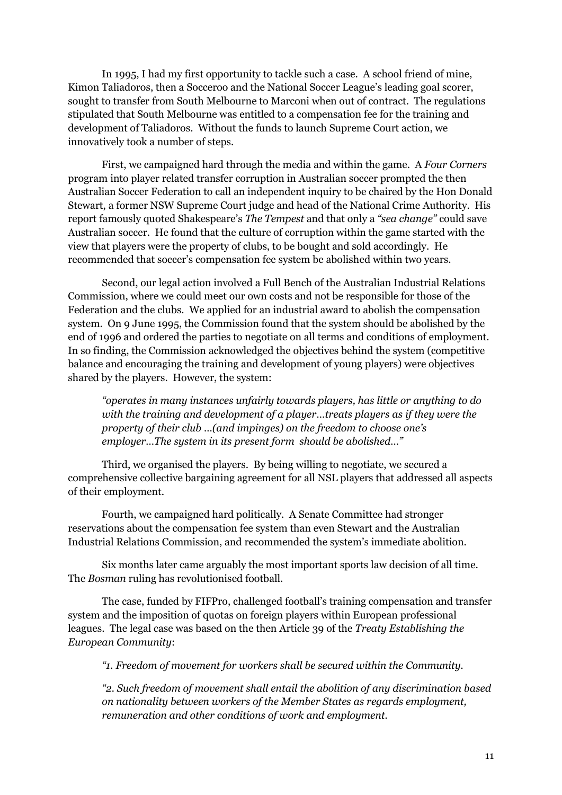In 1995, I had my first opportunity to tackle such a case. A school friend of mine, Kimon Taliadoros, then a Socceroo and the National Soccer League's leading goal scorer, sought to transfer from South Melbourne to Marconi when out of contract. The regulations stipulated that South Melbourne was entitled to a compensation fee for the training and development of Taliadoros. Without the funds to launch Supreme Court action, we innovatively took a number of steps.

First, we campaigned hard through the media and within the game. A *Four Corners* program into player related transfer corruption in Australian soccer prompted the then Australian Soccer Federation to call an independent inquiry to be chaired by the Hon Donald Stewart, a former NSW Supreme Court judge and head of the National Crime Authority. His report famously quoted Shakespeare's *The Tempest* and that only a *"sea change"* could save Australian soccer. He found that the culture of corruption within the game started with the view that players were the property of clubs, to be bought and sold accordingly. He recommended that soccer's compensation fee system be abolished within two years.

Second, our legal action involved a Full Bench of the Australian Industrial Relations Commission, where we could meet our own costs and not be responsible for those of the Federation and the clubs. We applied for an industrial award to abolish the compensation system. On 9 June 1995, the Commission found that the system should be abolished by the end of 1996 and ordered the parties to negotiate on all terms and conditions of employment. In so finding, the Commission acknowledged the objectives behind the system (competitive balance and encouraging the training and development of young players) were objectives shared by the players. However, the system:

*"operates in many instances unfairly towards players, has little or anything to do with the training and development of a player…treats players as if they were the property of their club …(and impinges) on the freedom to choose one's employer…The system in its present form should be abolished…"*

Third, we organised the players. By being willing to negotiate, we secured a comprehensive collective bargaining agreement for all NSL players that addressed all aspects of their employment.

Fourth, we campaigned hard politically. A Senate Committee had stronger reservations about the compensation fee system than even Stewart and the Australian Industrial Relations Commission, and recommended the system's immediate abolition.

Six months later came arguably the most important sports law decision of all time. The *Bosman* ruling has revolutionised football.

The case, funded by FIFPro, challenged football's training compensation and transfer system and the imposition of quotas on foreign players within European professional leagues. The legal case was based on the then Article 39 of the *Treaty Establishing the European Community*:

*"1. Freedom of movement for workers shall be secured within the Community.*

*"2. Such freedom of movement shall entail the abolition of any discrimination based on nationality between workers of the Member States as regards employment, remuneration and other conditions of work and employment.*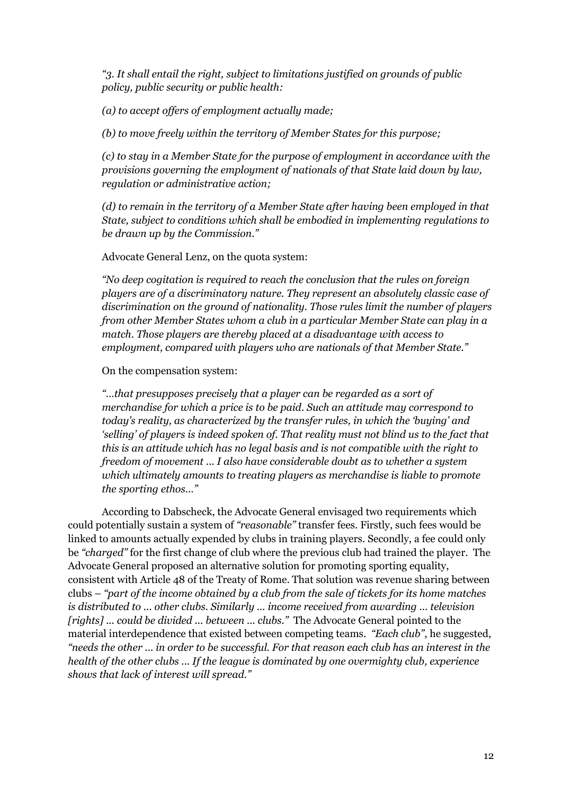*"3. It shall entail the right, subject to limitations justified on grounds of public policy, public security or public health:*

*(a) to accept offers of employment actually made;*

*(b) to move freely within the territory of Member States for this purpose;*

*(c) to stay in a Member State for the purpose of employment in accordance with the provisions governing the employment of nationals of that State laid down by law, regulation or administrative action;*

*(d) to remain in the territory of a Member State after having been employed in that State, subject to conditions which shall be embodied in implementing regulations to be drawn up by the Commission."*

## Advocate General Lenz, on the quota system:

*"No deep cogitation is required to reach the conclusion that the rules on foreign players are of a discriminatory nature. They represent an absolutely classic case of discrimination on the ground of nationality. Those rules limit the number of players from other Member States whom a club in a particular Member State can play in a match. Those players are thereby placed at a disadvantage with access to employment, compared with players who are nationals of that Member State."*

## On the compensation system:

*"…that presupposes precisely that a player can be regarded as a sort of merchandise for which a price is to be paid. Such an attitude may correspond to today's reality, as characterized by the transfer rules, in which the 'buying' and 'selling' of players is indeed spoken of. That reality must not blind us to the fact that this is an attitude which has no legal basis and is not compatible with the right to freedom of movement ... I also have considerable doubt as to whether a system which ultimately amounts to treating players as merchandise is liable to promote the sporting ethos…"*

According to Dabscheck, the Advocate General envisaged two requirements which could potentially sustain a system of *"reasonable"* transfer fees. Firstly, such fees would be linked to amounts actually expended by clubs in training players. Secondly, a fee could only be *"charged"* for the first change of club where the previous club had trained the player. The Advocate General proposed an alternative solution for promoting sporting equality, consistent with Article 48 of the Treaty of Rome. That solution was revenue sharing between clubs – *"part of the income obtained by a club from the sale of tickets for its home matches is distributed to ... other clubs. Similarly ... income received from awarding ... television [rights] ... could be divided ... between ... clubs."* The Advocate General pointed to the material interdependence that existed between competing teams. *"Each club"*, he suggested, *"needs the other ... in order to be successful. For that reason each club has an interest in the health of the other clubs ... If the league is dominated by one overmighty club, experience shows that lack of interest will spread."*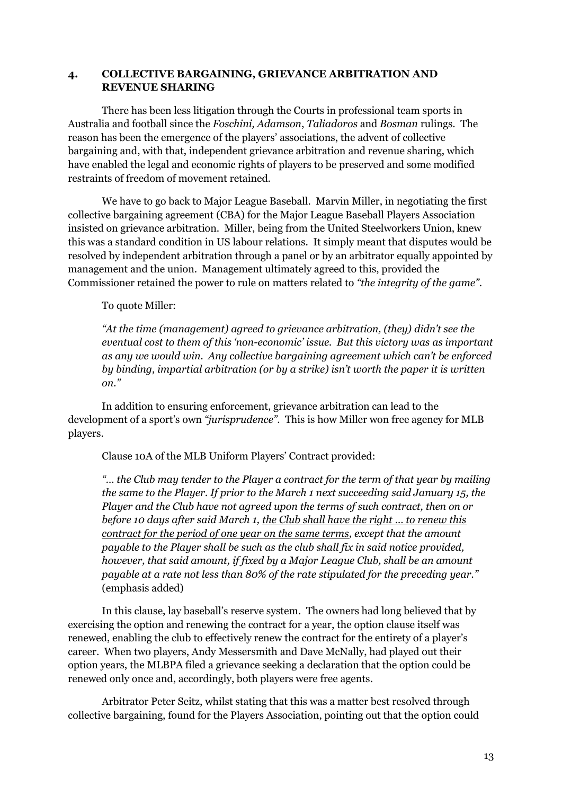#### **4. COLLECTIVE BARGAINING, GRIEVANCE ARBITRATION AND REVENUE SHARING**

There has been less litigation through the Courts in professional team sports in Australia and football since the *Foschini, Adamson*, *Taliadoros* and *Bosman* rulings. The reason has been the emergence of the players' associations, the advent of collective bargaining and, with that, independent grievance arbitration and revenue sharing, which have enabled the legal and economic rights of players to be preserved and some modified restraints of freedom of movement retained.

We have to go back to Major League Baseball. Marvin Miller, in negotiating the first collective bargaining agreement (CBA) for the Major League Baseball Players Association insisted on grievance arbitration. Miller, being from the United Steelworkers Union, knew this was a standard condition in US labour relations. It simply meant that disputes would be resolved by independent arbitration through a panel or by an arbitrator equally appointed by management and the union. Management ultimately agreed to this, provided the Commissioner retained the power to rule on matters related to *"the integrity of the game"*.

To quote Miller:

*"At the time (management) agreed to grievance arbitration, (they) didn't see the eventual cost to them of this 'non-economic' issue. But this victory was as important as any we would win. Any collective bargaining agreement which can't be enforced by binding, impartial arbitration (or by a strike) isn't worth the paper it is written on."*

In addition to ensuring enforcement, grievance arbitration can lead to the development of a sport's own *"jurisprudence"*. This is how Miller won free agency for MLB players.

Clause 10A of the MLB Uniform Players' Contract provided:

*"… the Club may tender to the Player a contract for the term of that year by mailing the same to the Player. If prior to the March 1 next succeeding said January 15, the Player and the Club have not agreed upon the terms of such contract, then on or before 10 days after said March 1, the Club shall have the right … to renew this contract for the period of one year on the same terms, except that the amount payable to the Player shall be such as the club shall fix in said notice provided, however, that said amount, if fixed by a Major League Club, shall be an amount payable at a rate not less than 80% of the rate stipulated for the preceding year."* (emphasis added)

In this clause, lay baseball's reserve system. The owners had long believed that by exercising the option and renewing the contract for a year, the option clause itself was renewed, enabling the club to effectively renew the contract for the entirety of a player's career. When two players, Andy Messersmith and Dave McNally, had played out their option years, the MLBPA filed a grievance seeking a declaration that the option could be renewed only once and, accordingly, both players were free agents.

Arbitrator Peter Seitz, whilst stating that this was a matter best resolved through collective bargaining, found for the Players Association, pointing out that the option could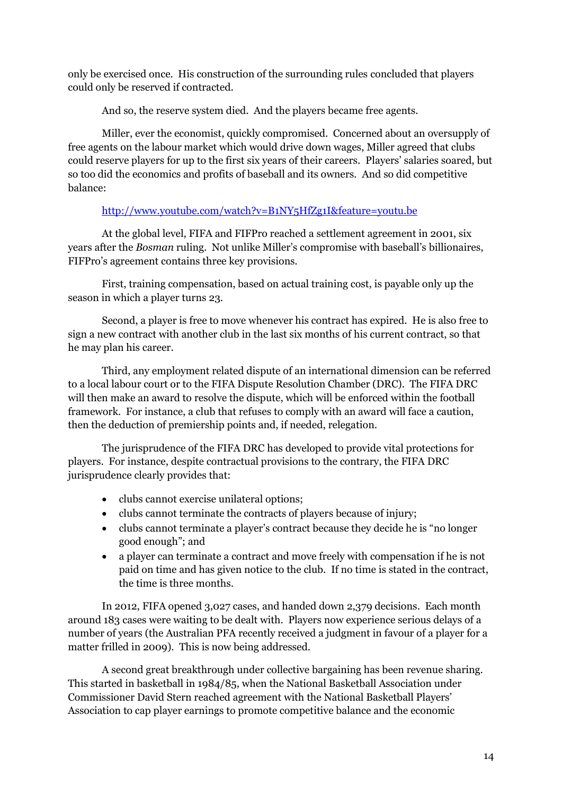only be exercised once. His construction of the surrounding rules concluded that players could only be reserved if contracted.

And so, the reserve system died. And the players became free agents.

Miller, ever the economist, quickly compromised. Concerned about an oversupply of free agents on the labour market which would drive down wages, Miller agreed that clubs could reserve players for up to the first six years of their careers. Players' salaries soared, but so too did the economics and profits of baseball and its owners. And so did competitive balance:

# <http://www.youtube.com/watch?v=B1NY5HfZg1I&feature=youtu.be>

At the global level, FIFA and FIFPro reached a settlement agreement in 2001, six years after the *Bosman* ruling. Not unlike Miller's compromise with baseball's billionaires, FIFPro's agreement contains three key provisions.

First, training compensation, based on actual training cost, is payable only up the season in which a player turns 23.

Second, a player is free to move whenever his contract has expired. He is also free to sign a new contract with another club in the last six months of his current contract, so that he may plan his career.

Third, any employment related dispute of an international dimension can be referred to a local labour court or to the FIFA Dispute Resolution Chamber (DRC). The FIFA DRC will then make an award to resolve the dispute, which will be enforced within the football framework. For instance, a club that refuses to comply with an award will face a caution, then the deduction of premiership points and, if needed, relegation.

The jurisprudence of the FIFA DRC has developed to provide vital protections for players. For instance, despite contractual provisions to the contrary, the FIFA DRC jurisprudence clearly provides that:

- clubs cannot exercise unilateral options;
- clubs cannot terminate the contracts of players because of injury;
- clubs cannot terminate a player's contract because they decide he is "no longer good enough"; and
- a player can terminate a contract and move freely with compensation if he is not paid on time and has given notice to the club. If no time is stated in the contract, the time is three months.

In 2012, FIFA opened 3,027 cases, and handed down 2,379 decisions. Each month around 183 cases were waiting to be dealt with. Players now experience serious delays of a number of years (the Australian PFA recently received a judgment in favour of a player for a matter frilled in 2009). This is now being addressed.

A second great breakthrough under collective bargaining has been revenue sharing. This started in basketball in 1984/85, when the National Basketball Association under Commissioner David Stern reached agreement with the National Basketball Players' Association to cap player earnings to promote competitive balance and the economic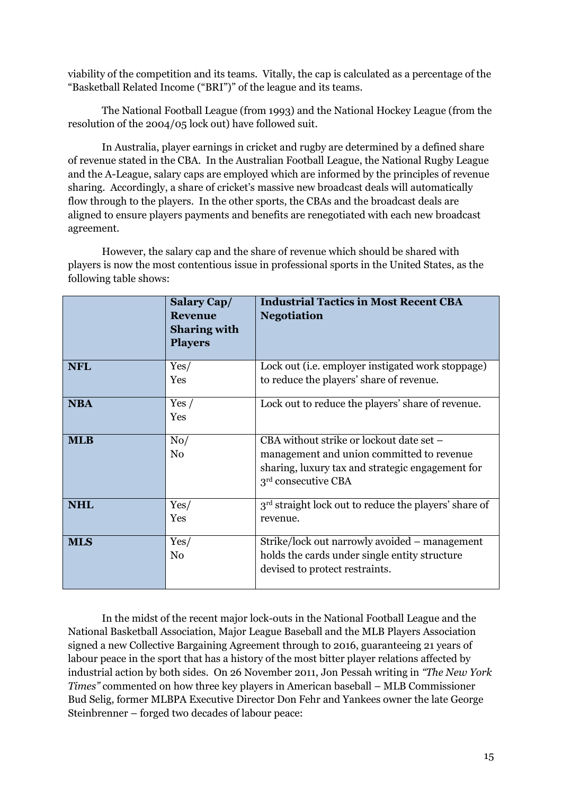viability of the competition and its teams. Vitally, the cap is calculated as a percentage of the "Basketball Related Income ("BRI")" of the league and its teams.

The National Football League (from 1993) and the National Hockey League (from the resolution of the 2004/05 lock out) have followed suit.

In Australia, player earnings in cricket and rugby are determined by a defined share of revenue stated in the CBA. In the Australian Football League, the National Rugby League and the A-League, salary caps are employed which are informed by the principles of revenue sharing. Accordingly, a share of cricket's massive new broadcast deals will automatically flow through to the players. In the other sports, the CBAs and the broadcast deals are aligned to ensure players payments and benefits are renegotiated with each new broadcast agreement.

However, the salary cap and the share of revenue which should be shared with players is now the most contentious issue in professional sports in the United States, as the following table shows:

|            | <b>Salary Cap/</b><br><b>Revenue</b><br><b>Sharing with</b><br><b>Players</b> | <b>Industrial Tactics in Most Recent CBA</b><br><b>Negotiation</b>                                                                                                           |
|------------|-------------------------------------------------------------------------------|------------------------------------------------------------------------------------------------------------------------------------------------------------------------------|
| <b>NFL</b> | Yes/<br>Yes                                                                   | Lock out (i.e. employer instigated work stoppage)<br>to reduce the players' share of revenue.                                                                                |
| <b>NBA</b> | Yes /<br>Yes                                                                  | Lock out to reduce the players' share of revenue.                                                                                                                            |
| <b>MLB</b> | No/<br>N <sub>0</sub>                                                         | CBA without strike or lockout date set -<br>management and union committed to revenue<br>sharing, luxury tax and strategic engagement for<br>3 <sup>rd</sup> consecutive CBA |
| <b>NHL</b> | Yes/<br>Yes                                                                   | 3 <sup>rd</sup> straight lock out to reduce the players' share of<br>revenue.                                                                                                |
| <b>MLS</b> | Yes/<br>N <sub>0</sub>                                                        | Strike/lock out narrowly avoided - management<br>holds the cards under single entity structure<br>devised to protect restraints.                                             |

In the midst of the recent major lock-outs in the National Football League and the National Basketball Association, Major League Baseball and the MLB Players Association signed a new Collective Bargaining Agreement through to 2016, guaranteeing 21 years of labour peace in the sport that has a history of the most bitter player relations affected by industrial action by both sides. On 26 November 2011, Jon Pessah writing in *"The New York Times"* commented on how three key players in American baseball – MLB Commissioner Bud Selig, former MLBPA Executive Director Don Fehr and Yankees owner the late George Steinbrenner – forged two decades of labour peace: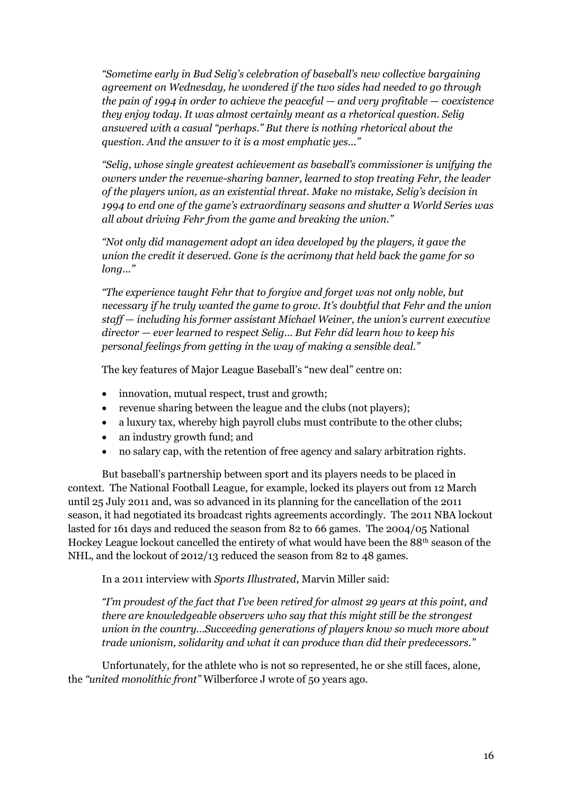*"Sometime early in Bud Selig's celebration of baseball's new collective bargaining agreement on Wednesday, he wondered if the two sides had needed to go through the pain of 1994 in order to achieve the peaceful — and very profitable — coexistence they enjoy today. It was almost certainly meant as a rhetorical question. Selig answered with a casual "perhaps." But there is nothing rhetorical about the question. And the answer to it is a most emphatic yes..."*

*"Selig, whose single greatest achievement as baseball's commissioner is unifying the owners under the revenue-sharing banner, learned to stop treating Fehr, the leader of the players union, as an existential threat. Make no mistake, Selig's decision in 1994 to end one of the game's extraordinary seasons and shutter a World Series was all about driving Fehr from the game and breaking the union."*

*"Not only did management adopt an idea developed by the players, it gave the union the credit it deserved. Gone is the acrimony that held back the game for so long..."*

*"The experience taught Fehr that to forgive and forget was not only noble, but necessary if he truly wanted the game to grow. It's doubtful that Fehr and the union staff — including his former assistant Michael Weiner, the union's current executive director — ever learned to respect Selig... But Fehr did learn how to keep his personal feelings from getting in the way of making a sensible deal."* 

The key features of Major League Baseball's "new deal" centre on:

- innovation, mutual respect, trust and growth;
- revenue sharing between the league and the clubs (not players);
- a luxury tax, whereby high payroll clubs must contribute to the other clubs;
- an industry growth fund; and
- no salary cap, with the retention of free agency and salary arbitration rights.

But baseball's partnership between sport and its players needs to be placed in context. The National Football League, for example, locked its players out from 12 March until 25 July 2011 and, was so advanced in its planning for the cancellation of the 2011 season, it had negotiated its broadcast rights agreements accordingly. The 2011 NBA lockout lasted for 161 days and reduced the season from 82 to 66 games. The 2004/05 National Hockey League lockout cancelled the entirety of what would have been the 88th season of the NHL, and the lockout of 2012/13 reduced the season from 82 to 48 games.

In a 2011 interview with *Sports Illustrated*, Marvin Miller said:

*"I'm proudest of the fact that I've been retired for almost 29 years at this point, and there are knowledgeable observers who say that this might still be the strongest union in the country…Succeeding generations of players know so much more about trade unionism, solidarity and what it can produce than did their predecessors."*

Unfortunately, for the athlete who is not so represented, he or she still faces, alone, the *"united monolithic front"* Wilberforce J wrote of 50 years ago.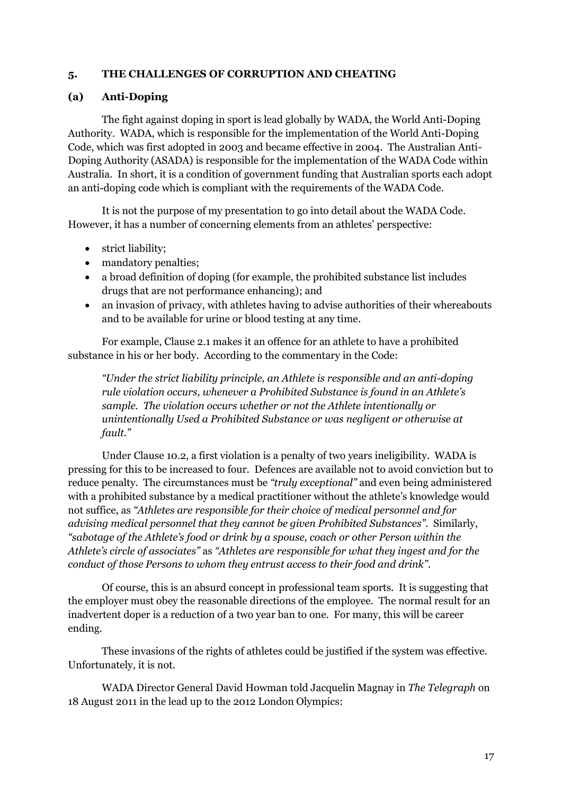#### **5. THE CHALLENGES OF CORRUPTION AND CHEATING**

#### **(a) Anti-Doping**

The fight against doping in sport is lead globally by WADA, the World Anti-Doping Authority. WADA, which is responsible for the implementation of the World Anti-Doping Code, which was first adopted in 2003 and became effective in 2004. The Australian Anti-Doping Authority (ASADA) is responsible for the implementation of the WADA Code within Australia. In short, it is a condition of government funding that Australian sports each adopt an anti-doping code which is compliant with the requirements of the WADA Code.

It is not the purpose of my presentation to go into detail about the WADA Code. However, it has a number of concerning elements from an athletes' perspective:

- strict liability;
- mandatory penalties;
- a broad definition of doping (for example, the prohibited substance list includes drugs that are not performance enhancing); and
- an invasion of privacy, with athletes having to advise authorities of their whereabouts and to be available for urine or blood testing at any time.

For example, Clause 2.1 makes it an offence for an athlete to have a prohibited substance in his or her body. According to the commentary in the Code:

*"Under the strict liability principle, an Athlete is responsible and an anti-doping rule violation occurs, whenever a Prohibited Substance is found in an Athlete's sample. The violation occurs whether or not the Athlete intentionally or unintentionally Used a Prohibited Substance or was negligent or otherwise at fault."* 

Under Clause 10.2, a first violation is a penalty of two years ineligibility. WADA is pressing for this to be increased to four. Defences are available not to avoid conviction but to reduce penalty. The circumstances must be *"truly exceptional"* and even being administered with a prohibited substance by a medical practitioner without the athlete's knowledge would not suffice, as *"Athletes are responsible for their choice of medical personnel and for advising medical personnel that they cannot be given Prohibited Substances"*. Similarly, *"sabotage of the Athlete's food or drink by a spouse, coach or other Person within the Athlete's circle of associates"* as *"Athletes are responsible for what they ingest and for the conduct of those Persons to whom they entrust access to their food and drink"*.

Of course, this is an absurd concept in professional team sports. It is suggesting that the employer must obey the reasonable directions of the employee. The normal result for an inadvertent doper is a reduction of a two year ban to one. For many, this will be career ending.

These invasions of the rights of athletes could be justified if the system was effective. Unfortunately, it is not.

WADA Director General David Howman told Jacquelin Magnay in *The Telegraph* on 18 August 2011 in the lead up to the 2012 London Olympics: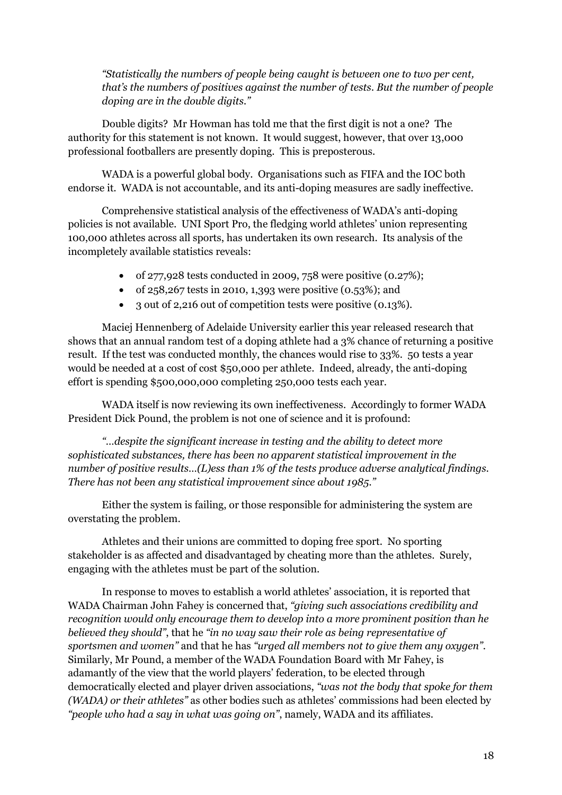*"Statistically the numbers of people being caught is between one to two per cent, that's the numbers of positives against the number of tests. But the number of people doping are in the double digits."*

Double digits? Mr Howman has told me that the first digit is not a one? The authority for this statement is not known. It would suggest, however, that over 13,000 professional footballers are presently doping. This is preposterous.

WADA is a powerful global body. Organisations such as FIFA and the IOC both endorse it. WADA is not accountable, and its anti-doping measures are sadly ineffective.

Comprehensive statistical analysis of the effectiveness of WADA's anti-doping policies is not available. UNI Sport Pro, the fledging world athletes' union representing 100,000 athletes across all sports, has undertaken its own research. Its analysis of the incompletely available statistics reveals:

- $\bullet$  of 277,928 tests conducted in 2009, 758 were positive  $(0.27\%)$ ;
- of  $258,267$  tests in 2010, 1,393 were positive (0.53%); and
- 3 out of 2,216 out of competition tests were positive (0.13%).

Maciej Hennenberg of Adelaide University earlier this year released research that shows that an annual random test of a doping athlete had a 3% chance of returning a positive result. If the test was conducted monthly, the chances would rise to 33%. 50 tests a year would be needed at a cost of cost \$50,000 per athlete. Indeed, already, the anti-doping effort is spending \$500,000,000 completing 250,000 tests each year.

WADA itself is now reviewing its own ineffectiveness. Accordingly to former WADA President Dick Pound, the problem is not one of science and it is profound:

*"…despite the significant increase in testing and the ability to detect more sophisticated substances, there has been no apparent statistical improvement in the number of positive results…(L)ess than 1% of the tests produce adverse analytical findings. There has not been any statistical improvement since about 1985."*

Either the system is failing, or those responsible for administering the system are overstating the problem.

Athletes and their unions are committed to doping free sport. No sporting stakeholder is as affected and disadvantaged by cheating more than the athletes. Surely, engaging with the athletes must be part of the solution.

In response to moves to establish a world athletes' association, it is reported that WADA Chairman John Fahey is concerned that, *"giving such associations credibility and recognition would only encourage them to develop into a more prominent position than he believed they should"*, that he *"in no way saw their role as being representative of sportsmen and women"* and that he has *"urged all members not to give them any oxygen"*. Similarly, Mr Pound, a member of the WADA Foundation Board with Mr Fahey, is adamantly of the view that the world players' federation, to be elected through democratically elected and player driven associations, *"was not the body that spoke for them (WADA) or their athletes"* as other bodies such as athletes' commissions had been elected by *"people who had a say in what was going on"*, namely, WADA and its affiliates.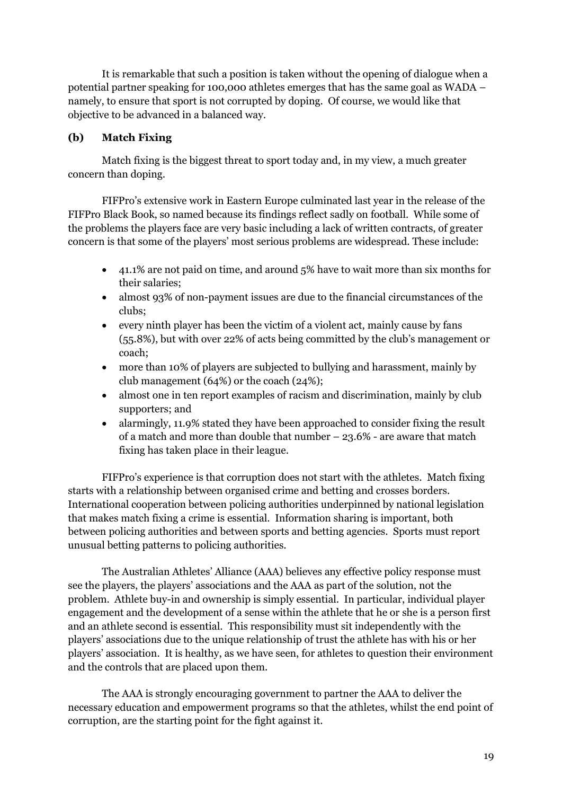It is remarkable that such a position is taken without the opening of dialogue when a potential partner speaking for 100,000 athletes emerges that has the same goal as WADA – namely, to ensure that sport is not corrupted by doping. Of course, we would like that objective to be advanced in a balanced way.

# **(b) Match Fixing**

Match fixing is the biggest threat to sport today and, in my view, a much greater concern than doping.

FIFPro's extensive work in Eastern Europe culminated last year in the release of the FIFPro Black Book, so named because its findings reflect sadly on football. While some of the problems the players face are very basic including a lack of written contracts, of greater concern is that some of the players' most serious problems are widespread. These include:

- 41.1% are not paid on time, and around 5% have to wait more than six months for their salaries;
- almost 93% of non-payment issues are due to the financial circumstances of the clubs;
- every ninth player has been the victim of a violent act, mainly cause by fans (55.8%), but with over 22% of acts being committed by the club's management or coach;
- more than 10% of players are subjected to bullying and harassment, mainly by club management (64%) or the coach (24%);
- almost one in ten report examples of racism and discrimination, mainly by club supporters; and
- alarmingly, 11.9% stated they have been approached to consider fixing the result of a match and more than double that number – 23.6% - are aware that match fixing has taken place in their league.

FIFPro's experience is that corruption does not start with the athletes. Match fixing starts with a relationship between organised crime and betting and crosses borders. International cooperation between policing authorities underpinned by national legislation that makes match fixing a crime is essential. Information sharing is important, both between policing authorities and between sports and betting agencies. Sports must report unusual betting patterns to policing authorities.

The Australian Athletes' Alliance (AAA) believes any effective policy response must see the players, the players' associations and the AAA as part of the solution, not the problem. Athlete buy-in and ownership is simply essential. In particular, individual player engagement and the development of a sense within the athlete that he or she is a person first and an athlete second is essential. This responsibility must sit independently with the players' associations due to the unique relationship of trust the athlete has with his or her players' association. It is healthy, as we have seen, for athletes to question their environment and the controls that are placed upon them.

The AAA is strongly encouraging government to partner the AAA to deliver the necessary education and empowerment programs so that the athletes, whilst the end point of corruption, are the starting point for the fight against it.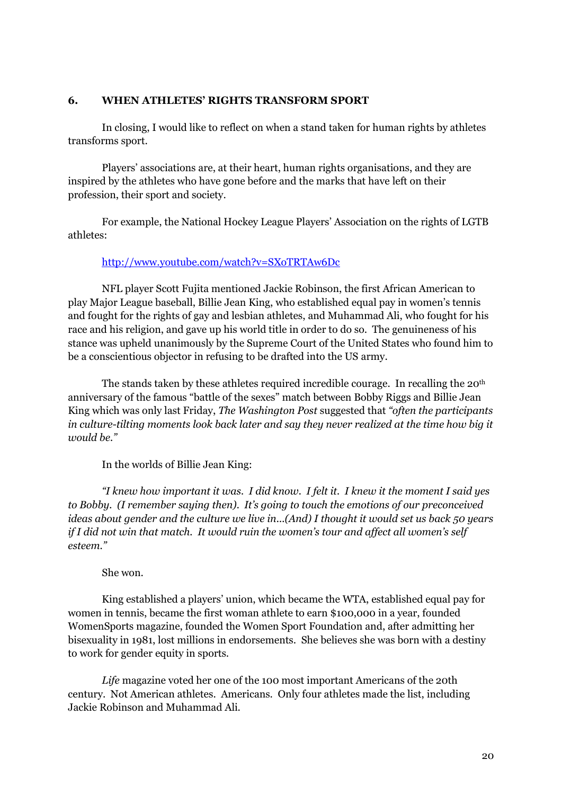#### **6. WHEN ATHLETES' RIGHTS TRANSFORM SPORT**

In closing, I would like to reflect on when a stand taken for human rights by athletes transforms sport.

Players' associations are, at their heart, human rights organisations, and they are inspired by the athletes who have gone before and the marks that have left on their profession, their sport and society.

For example, the National Hockey League Players' Association on the rights of LGTB athletes:

#### <http://www.youtube.com/watch?v=SXoTRTAw6Dc>

NFL player Scott Fujita mentioned Jackie Robinson, the first African American to play Major League baseball, Billie Jean King, who established equal pay in women's tennis and fought for the rights of gay and lesbian athletes, and Muhammad Ali, who fought for his race and his religion, and gave up his world title in order to do so. The genuineness of his stance was upheld unanimously by the Supreme Court of the United States who found him to be a conscientious objector in refusing to be drafted into the US army.

The stands taken by these athletes required incredible courage. In recalling the  $20<sup>th</sup>$ anniversary of the famous "battle of the sexes" match between Bobby Riggs and Billie Jean King which was only last Friday, *The Washington Post* suggested that *"often the participants in culture-tilting moments look back later and say they never realized at the time how big it would be."*

In the worlds of Billie Jean King:

*"I knew how important it was. I did know. I felt it. I knew it the moment I said yes to Bobby. (I remember saying then). It's going to touch the emotions of our preconceived ideas about gender and the culture we live in...(And) I thought it would set us back 50 years if I did not win that match. It would ruin the women's tour and affect all women's self esteem."*

She won.

King established a players' union, which became the WTA, established equal pay for women in tennis, became the first woman athlete to earn \$100,000 in a year, founded WomenSports magazine, founded the Women Sport Foundation and, after admitting her bisexuality in 1981, lost millions in endorsements. She believes she was born with a destiny to work for gender equity in sports.

*Life* magazine voted her one of the 100 most important Americans of the 20th century. Not American athletes. Americans. Only four athletes made the list, including Jackie Robinson and Muhammad Ali.